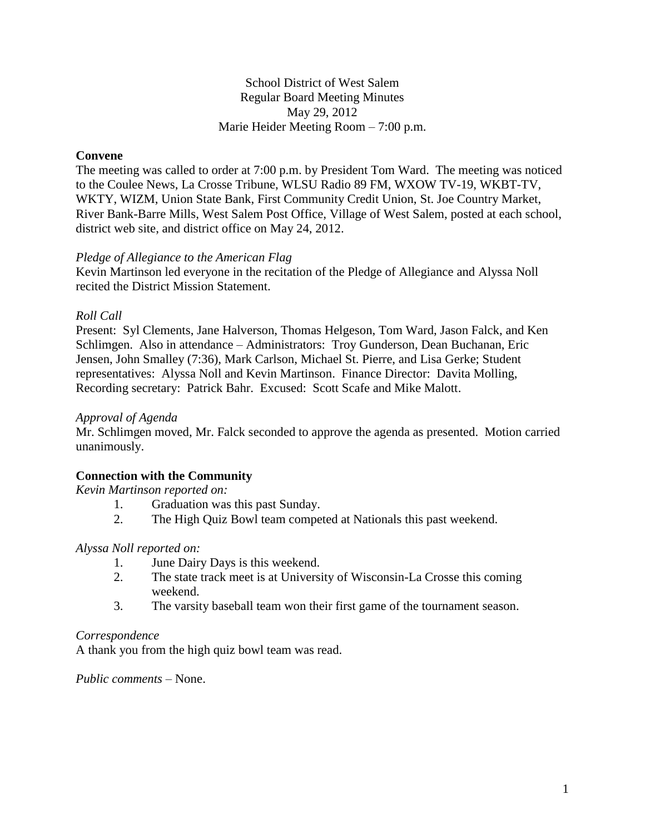School District of West Salem Regular Board Meeting Minutes May 29, 2012 Marie Heider Meeting Room – 7:00 p.m.

# **Convene**

The meeting was called to order at 7:00 p.m. by President Tom Ward. The meeting was noticed to the Coulee News, La Crosse Tribune, WLSU Radio 89 FM, WXOW TV-19, WKBT-TV, WKTY, WIZM, Union State Bank, First Community Credit Union, St. Joe Country Market, River Bank-Barre Mills, West Salem Post Office, Village of West Salem, posted at each school, district web site, and district office on May 24, 2012.

## *Pledge of Allegiance to the American Flag*

Kevin Martinson led everyone in the recitation of the Pledge of Allegiance and Alyssa Noll recited the District Mission Statement.

## *Roll Call*

Present: Syl Clements, Jane Halverson, Thomas Helgeson, Tom Ward, Jason Falck, and Ken Schlimgen. Also in attendance – Administrators: Troy Gunderson, Dean Buchanan, Eric Jensen, John Smalley (7:36), Mark Carlson, Michael St. Pierre, and Lisa Gerke; Student representatives: Alyssa Noll and Kevin Martinson. Finance Director: Davita Molling, Recording secretary: Patrick Bahr. Excused: Scott Scafe and Mike Malott.

#### *Approval of Agenda*

Mr. Schlimgen moved, Mr. Falck seconded to approve the agenda as presented. Motion carried unanimously.

# **Connection with the Community**

*Kevin Martinson reported on:*

- 1. Graduation was this past Sunday.
- 2. The High Quiz Bowl team competed at Nationals this past weekend.

# *Alyssa Noll reported on:*

- 1. June Dairy Days is this weekend.
- 2. The state track meet is at University of Wisconsin-La Crosse this coming weekend.
- 3. The varsity baseball team won their first game of the tournament season.

#### *Correspondence*

A thank you from the high quiz bowl team was read.

*Public comments –* None.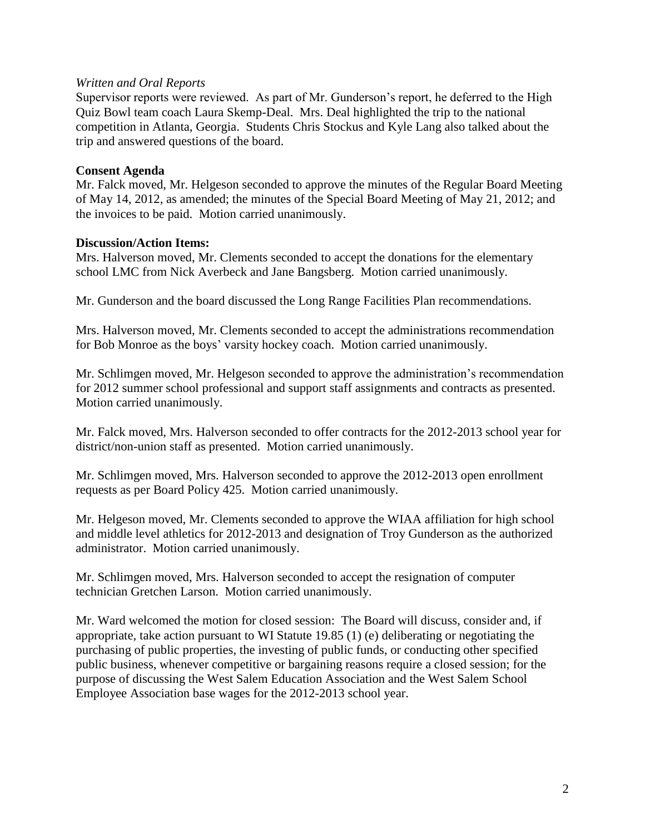# *Written and Oral Reports*

Supervisor reports were reviewed. As part of Mr. Gunderson's report, he deferred to the High Quiz Bowl team coach Laura Skemp-Deal. Mrs. Deal highlighted the trip to the national competition in Atlanta, Georgia. Students Chris Stockus and Kyle Lang also talked about the trip and answered questions of the board.

## **Consent Agenda**

Mr. Falck moved, Mr. Helgeson seconded to approve the minutes of the Regular Board Meeting of May 14, 2012, as amended; the minutes of the Special Board Meeting of May 21, 2012; and the invoices to be paid. Motion carried unanimously.

## **Discussion/Action Items:**

Mrs. Halverson moved, Mr. Clements seconded to accept the donations for the elementary school LMC from Nick Averbeck and Jane Bangsberg. Motion carried unanimously.

Mr. Gunderson and the board discussed the Long Range Facilities Plan recommendations.

Mrs. Halverson moved, Mr. Clements seconded to accept the administrations recommendation for Bob Monroe as the boys' varsity hockey coach. Motion carried unanimously.

Mr. Schlimgen moved, Mr. Helgeson seconded to approve the administration's recommendation for 2012 summer school professional and support staff assignments and contracts as presented. Motion carried unanimously.

Mr. Falck moved, Mrs. Halverson seconded to offer contracts for the 2012-2013 school year for district/non-union staff as presented. Motion carried unanimously.

Mr. Schlimgen moved, Mrs. Halverson seconded to approve the 2012-2013 open enrollment requests as per Board Policy 425. Motion carried unanimously.

Mr. Helgeson moved, Mr. Clements seconded to approve the WIAA affiliation for high school and middle level athletics for 2012-2013 and designation of Troy Gunderson as the authorized administrator. Motion carried unanimously.

Mr. Schlimgen moved, Mrs. Halverson seconded to accept the resignation of computer technician Gretchen Larson. Motion carried unanimously.

Mr. Ward welcomed the motion for closed session: The Board will discuss, consider and, if appropriate, take action pursuant to WI Statute 19.85 (1) (e) deliberating or negotiating the purchasing of public properties, the investing of public funds, or conducting other specified public business, whenever competitive or bargaining reasons require a closed session; for the purpose of discussing the West Salem Education Association and the West Salem School Employee Association base wages for the 2012-2013 school year.